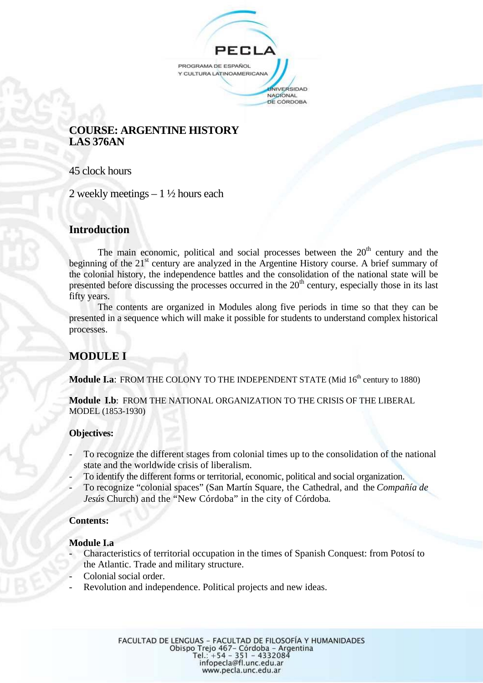

# **COURSE: ARGENTINE HISTORY LAS 376AN**

## 45 clock hours

2 weekly meetings – 1 ½ hours each

# **Introduction**

The main economic, political and social processes between the  $20<sup>th</sup>$  century and the beginning of the  $21<sup>st</sup>$  century are analyzed in the Argentine History course. A brief summary of the colonial history, the independence battles and the consolidation of the national state will be presented before discussing the processes occurred in the  $20<sup>th</sup>$  century, especially those in its last fifty years.

The contents are organized in Modules along five periods in time so that they can be presented in a sequence which will make it possible for students to understand complex historical processes.

# **MODULE I**

**Module I.a:** FROM THE COLONY TO THE INDEPENDENT STATE (Mid 16<sup>th</sup> century to 1880)

**Module I.b**: FROM THE NATIONAL ORGANIZATION TO THE CRISIS OF THE LIBERAL MODEL (1853-1930)

### **Objectives:**

- To recognize the different stages from colonial times up to the consolidation of the national state and the worldwide crisis of liberalism.
- To identify the different forms or territorial, economic, political and social organization.
- To recognize "colonial spaces" (San Martín Square, the Cathedral, and the *Compañía de Jesús* Church) and the "New Córdoba" in the city of Córdoba.

## **Contents:**

### **Module I.a**

- Characteristics of territorial occupation in the times of Spanish Conquest: from Potosí to the Atlantic. Trade and military structure.
- Colonial social order.
- Revolution and independence. Political projects and new ideas.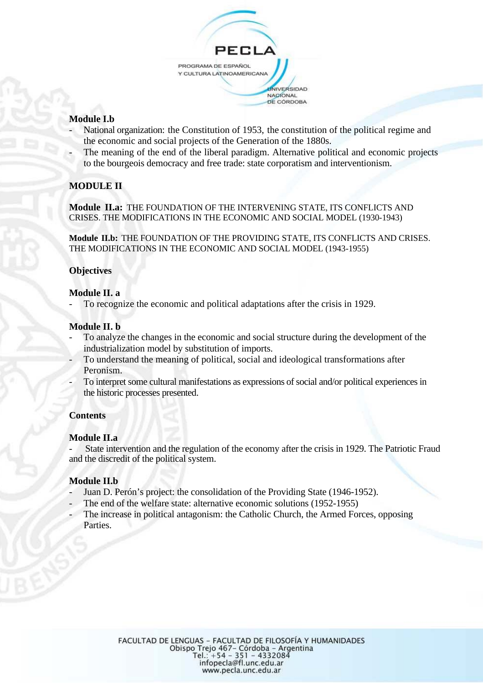

## **Module I.b**

- National organization: the Constitution of 1953, the constitution of the political regime and the economic and social projects of the Generation of the 1880s.
- The meaning of the end of the liberal paradigm. Alternative political and economic projects to the bourgeois democracy and free trade: state corporatism and interventionism.

## **MODULE II**

**Module II.a:** THE FOUNDATION OF THE INTERVENING STATE, ITS CONFLICTS AND CRISES. THE MODIFICATIONS IN THE ECONOMIC AND SOCIAL MODEL (1930-1943)

**Module II.b:** THE FOUNDATION OF THE PROVIDING STATE, ITS CONFLICTS AND CRISES. THE MODIFICATIONS IN THE ECONOMIC AND SOCIAL MODEL (1943-1955)

### **Objectives**

### **Module II. a**

To recognize the economic and political adaptations after the crisis in 1929.

### **Module II. b**

- To analyze the changes in the economic and social structure during the development of the industrialization model by substitution of imports.
- To understand the meaning of political, social and ideological transformations after Peronism.
- To interpret some cultural manifestations as expressions of social and/or political experiences in the historic processes presented.

### **Contents**

### **Module II.a**

State intervention and the regulation of the economy after the crisis in 1929. The Patriotic Fraud and the discredit of the political system.

### **Module II.b**

- Juan D. Perón's project: the consolidation of the Providing State (1946-1952).
- The end of the welfare state: alternative economic solutions (1952-1955)
- The increase in political antagonism: the Catholic Church, the Armed Forces, opposing Parties.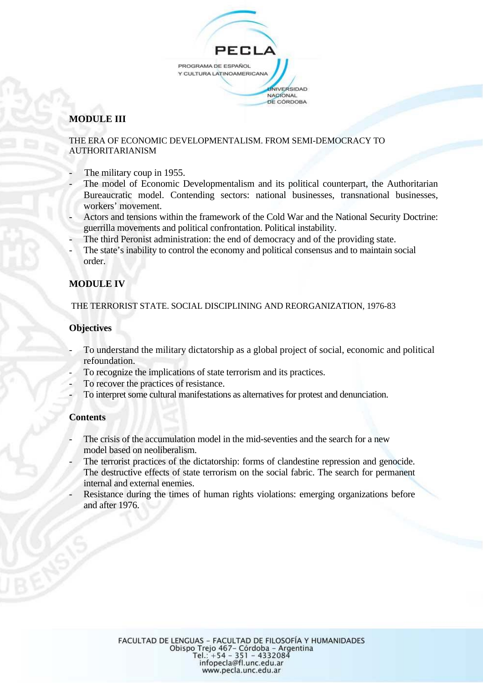

# **MODULE III**

### THE ERA OF ECONOMIC DEVELOPMENTALISM. FROM SEMI-DEMOCRACY TO AUTHORITARIANISM

- The military coup in 1955.
- The model of Economic Developmentalism and its political counterpart, the Authoritarian Bureaucratic model. Contending sectors: national businesses, transnational businesses, workers' movement.
- Actors and tensions within the framework of the Cold War and the National Security Doctrine: guerrilla movements and political confrontation. Political instability.
- The third Peronist administration: the end of democracy and of the providing state.
- The state's inability to control the economy and political consensus and to maintain social order.

## **MODULE IV**

### THE TERRORIST STATE. SOCIAL DISCIPLINING AND REORGANIZATION, 1976-83

### **Objectives**

- To understand the military dictatorship as a global project of social, economic and political refoundation.
- To recognize the implications of state terrorism and its practices.
- To recover the practices of resistance.
- To interpret some cultural manifestations as alternatives for protest and denunciation.

### **Contents**

- The crisis of the accumulation model in the mid-seventies and the search for a new model based on neoliberalism.
- The terrorist practices of the dictatorship: forms of clandestine repression and genocide. The destructive effects of state terrorism on the social fabric. The search for permanent internal and external enemies.
- Resistance during the times of human rights violations: emerging organizations before and after 1976.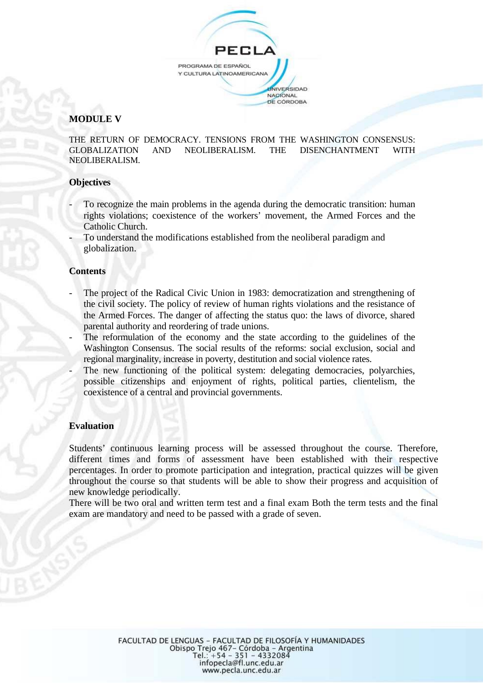

# **MODULE V**

THE RETURN OF DEMOCRACY. TENSIONS FROM THE WASHINGTON CONSENSUS: GLOBALIZATION AND NEOLIBERALISM. THE DISENCHANTMENT WITH NEOLIBERALISM.

### **Objectives**

- To recognize the main problems in the agenda during the democratic transition: human rights violations; coexistence of the workers' movement, the Armed Forces and the Catholic Church.
- To understand the modifications established from the neoliberal paradigm and globalization.

### **Contents**

- The project of the Radical Civic Union in 1983: democratization and strengthening of the civil society. The policy of review of human rights violations and the resistance of the Armed Forces. The danger of affecting the status quo: the laws of divorce, shared parental authority and reordering of trade unions.
- The reformulation of the economy and the state according to the guidelines of the Washington Consensus. The social results of the reforms: social exclusion, social and regional marginality, increase in poverty, destitution and social violence rates.
- The new functioning of the political system: delegating democracies, polyarchies, possible citizenships and enjoyment of rights, political parties, clientelism, the coexistence of a central and provincial governments.

### **Evaluation**

Students' continuous learning process will be assessed throughout the course. Therefore, different times and forms of assessment have been established with their respective percentages. In order to promote participation and integration, practical quizzes will be given throughout the course so that students will be able to show their progress and acquisition of new knowledge periodically.

There will be two oral and written term test and a final exam Both the term tests and the final exam are mandatory and need to be passed with a grade of seven.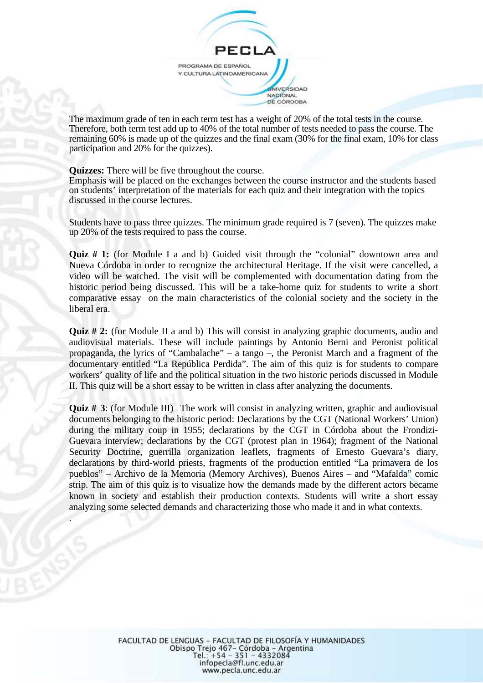

The maximum grade of ten in each term test has a weight of 20% of the total tests in the course. Therefore, both term test add up to 40% of the total number of tests needed to pass the course. The remaining 60% is made up of the quizzes and the final exam (30% for the final exam, 10% for class participation and 20% for the quizzes).

#### **Quizzes:** There will be five throughout the course.

.

Emphasis will be placed on the exchanges between the course instructor and the students based on students' interpretation of the materials for each quiz and their integration with the topics discussed in the course lectures.

Students have to pass three quizzes. The minimum grade required is 7 (seven). The quizzes make up 20% of the tests required to pass the course.

**Quiz # 1:** (for Module I a and b) Guided visit through the "colonial" downtown area and Nueva Córdoba in order to recognize the architectural Heritage. If the visit were cancelled, a video will be watched. The visit will be complemented with documentation dating from the historic period being discussed. This will be a take-home quiz for students to write a short comparative essay on the main characteristics of the colonial society and the society in the liberal era.

**Quiz # 2:** (for Module II a and b) This will consist in analyzing graphic documents, audio and audiovisual materials. These will include paintings by Antonio Berni and Peronist political propaganda, the lyrics of "Cambalache" – a tango –, the Peronist March and a fragment of the documentary entitled "La República Perdida". The aim of this quiz is for students to compare workers' quality of life and the political situation in the two historic periods discussed in Module II. This quiz will be a short essay to be written in class after analyzing the documents.

**Quiz # 3**: (for Module III) The work will consist in analyzing written, graphic and audiovisual documents belonging to the historic period: Declarations by the CGT (National Workers' Union) during the military coup in 1955; declarations by the CGT in Córdoba about the Frondizi-Guevara interview; declarations by the CGT (protest plan in 1964); fragment of the National Security Doctrine, guerrilla organization leaflets, fragments of Ernesto Guevara's diary, declarations by third-world priests, fragments of the production entitled "La primavera de los pueblos" – Archivo de la Memoria (Memory Archives), Buenos Aires – and "Mafalda" comic strip. The aim of this quiz is to visualize how the demands made by the different actors became known in society and establish their production contexts. Students will write a short essay analyzing some selected demands and characterizing those who made it and in what contexts.